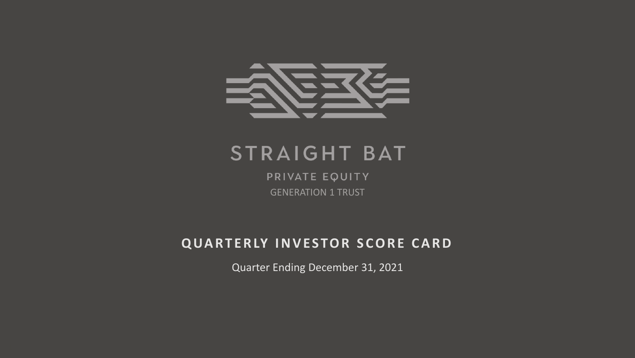

# STRAIGHT BAT

PRIVATE EQUITY GENERATION 1 TRUST

# **QUARTERLY INVESTOR SCORE CARD**

Quarter Ending December 31, 2021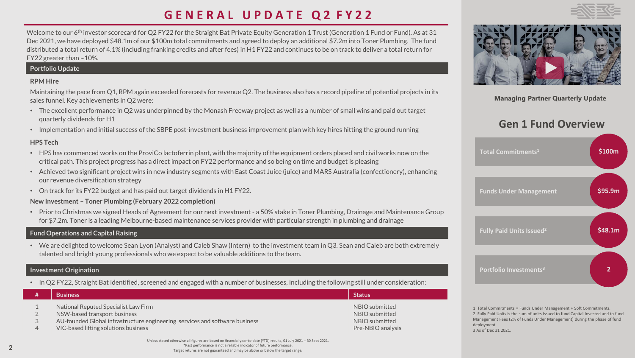# **G E N E R A L U P D A T E Q 2 F Y 2 2**

Welcome to our 6<sup>th</sup> investor scorecard for Q2 FY22 for the Straight Bat Private Equity Generation 1 Trust (Generation 1 Fund or Fund). As at 31 Dec 2021, we have deployed \$48.1m of our \$100m total commitments and agreed to deploy an additional \$7.2m into Toner Plumbing. The fund distributed a total return of 4.1% (including franking credits and after fees) in H1 FY22 and continues to be on track to deliver a total return for FY22 greater than ~10%.

#### **Portfolio Update**

#### **RPM Hire**

Maintaining the pace from Q1, RPM again exceeded forecasts for revenue Q2. The business also has a record pipeline of potential projects in its sales funnel. Key achievements in Q2 were:

- The excellent performance in Q2 was underpinned by the Monash Freeway project as well as a number of small wins and paid out target quarterly dividends for H1
- Implementation and initial success of the SBPE post-investment business improvement plan with key hires hitting the ground running

#### **HPS Tech**

- HPS has commenced works on the ProviCo lactoferrin plant, with the majority of the equipment orders placed and civil works now on the critical path. This project progress has a direct impact on FY22 performance and so being on time and budget is pleasing
- Achieved two significant project wins in new industry segments with East Coast Juice (juice) and MARS Australia (confectionery), enhancing our revenue diversification strategy
- On track for its FY22 budget and has paid out target dividends in H1 FY22.

#### **New Investment – Toner Plumbing (February 2022 completion)**

• Prior to Christmas we signed Heads of Agreement for our next investment - a 50% stake in Toner Plumbing, Drainage and Maintenance Group for \$7.2m. Toner is a leading Melbourne-based maintenance services provider with particular strength in plumbing and drainage

#### **Fund Operations and Capital Raising**

• We are delighted to welcome Sean Lyon (Analyst) and Caleb Shaw (Intern) to the investment team in Q3. Sean and Caleb are both extremely talented and bright young professionals who we expect to be valuable additions to the team.

#### **Investment Origination**

• In Q2 FY22, Straight Bat identified, screened and engaged with a number of businesses, including the following still under consideration:

| <b>Business</b>                                                                                                                                                                             | <b>Status</b>                                                           |
|---------------------------------------------------------------------------------------------------------------------------------------------------------------------------------------------|-------------------------------------------------------------------------|
| National Reputed Specialist Law Firm<br>NSW-based transport business<br>AU-founded Global infrastructure engineering services and software business<br>VIC-based lifting solutions business | NBIO submitted<br>NBIO submitted<br>NBIO submitted<br>Pre-NBIO analysis |



## **Gen 1 Fund Overview**



1 Total Commitments = Funds Under Management + Soft Commitments. 2 Fully Paid Units is the sum of units issued to fund Capital Invested and to fund Management Fees (2% of Funds Under Management) during the phase of fund deployment. 3 As of Dec 31 2021.

Unless stated otherwise all figures are based on financial year-to-date (YTD) results, 01 July 2021 – 30 Sept 2021. \*Past performance is not a reliable indicator of future performance. Target returns are not guaranteed and may be above or below the target range.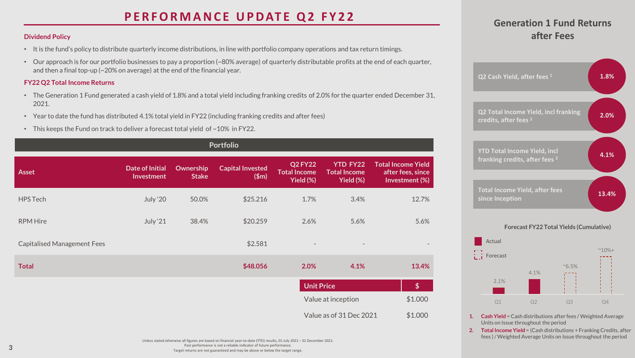# **PERFORMANCE UPDATE Q2 FY22**

#### **Dividend Policy**

- It is the fund's policy to distribute quarterly income distributions, in line with portfolio company operations and tax return timings.
- Our approach is for our portfolio businesses to pay a proportion (~80% average) of quarterly distributable profits at the end of each quarter, and then a final top-up (~20% on average) at the end of the financial year.

#### **FY22 Q2 Total Income Returns**

- The Generation 1 Fund generated a cash yield of 1.8% and a total yield including franking credits of 2.0% for the quarter ended December 31, 2021.
- Year to date the fund has distributed 4.1% total yield in FY22 (including franking credits and after fees)
- This keeps the Fund on track to deliver a forecast total yield of  $\sim$  10% in FY22.

| <b>Portfolio</b>                   |                                      |                           |                                  |                                                    |                                                     |                                                                  |
|------------------------------------|--------------------------------------|---------------------------|----------------------------------|----------------------------------------------------|-----------------------------------------------------|------------------------------------------------------------------|
| <b>Asset</b>                       | <b>Date of Initial</b><br>Investment | Ownership<br><b>Stake</b> | <b>Capital Invested</b><br>(\$m) | <b>Q2 FY22</b><br><b>Total Income</b><br>Yield (%) | <b>YTD FY22</b><br><b>Total Income</b><br>Yield (%) | <b>Total Income Yield</b><br>after fees, since<br>Investment (%) |
| <b>HPS Tech</b>                    | <b>July '20</b>                      | 50.0%                     | \$25.216                         | 1.7%                                               | 3.4%                                                | 12.7%                                                            |
| <b>RPM Hire</b>                    | July '21                             | 38.4%                     | \$20.259                         | 2.6%                                               | 5.6%                                                | 5.6%                                                             |
| <b>Capitalised Management Fees</b> |                                      |                           | \$2.581                          | $\overline{\phantom{a}}$                           |                                                     |                                                                  |
| <b>Total</b>                       |                                      |                           | \$48.056                         | 2.0%                                               | 4.1%                                                | 13.4%                                                            |
|                                    |                                      |                           |                                  | <b>Unit Price</b>                                  |                                                     | \$                                                               |
|                                    |                                      |                           |                                  |                                                    | Value at inception                                  | \$1.000                                                          |
|                                    |                                      |                           |                                  |                                                    | Value as of 31 Dec 2021                             | \$1.000                                                          |

### **Generation 1 Fund Returns after Fees**



#### **Forecast FY22 Total Yields (Cumulative)**



- **1. Cash Yield** = Cash distributions after fees / Weighted Average Units on Issue throughout the period
- **2. Total Income Yield** = (Cash distributions + Franking Credits, after fees ) / Weighted Average Units on Issue throughout the period

Unless stated otherwise all figures are based on financial year-to-date (YTD) results, 01 July 2021 – 31 December 2021. Past performance is not a reliable indicator of future performance. Target returns are not guaranteed and may be above or below the target range.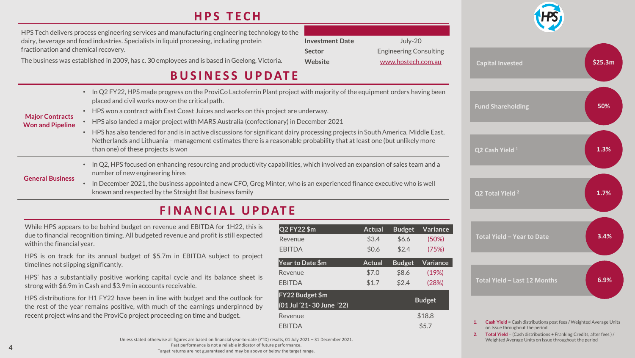# **H P S T E C H**

| HPS Tech delivers process engineering services and manufacturing engineering technology to the |                        |                               |
|------------------------------------------------------------------------------------------------|------------------------|-------------------------------|
| dairy, beverage and food industries. Specialists in liquid processing, including protein       | <b>Investment Date</b> | July- $201$                   |
| fractionation and chemical recovery.                                                           | Sector                 | <b>Engineering Consulting</b> |
| The business was established in 2009, has c. 30 employees and is based in Geelong, Victoria.   | Website                | www.hpstech.com.au            |

# **B U S I N E S S U P D AT E**

- **Major Contracts Won and Pipeline** • In Q2 FY22, HPS made progress on the ProviCo Lactoferrin Plant project with majority of the equipment orders having been placed and civil works now on the critical path. • HPS won a contract with East Coast Juices and works on this project are underway. • HPS also landed a major project with MARS Australia (confectionary) in December 2021 • HPS has also tendered for and is in active discussions for significant dairy processing projects in South America, Middle East, Netherlands and Lithuania – management estimates there is a reasonable probability that at least one (but unlikely more than one) of these projects is won **General Business** • In Q2, HPS focused on enhancing resourcing and productivity capabilities, which involved an expansion of sales team and a number of new engineering hires
	- In December 2021, the business appointed a new CFO, Greg Minter, who is an experienced finance executive who is well known and respected by the Straight Bat business family

# **F I N A N C I A L U P D AT E**

While HPS appears to be behind budget on revenue and EBITDA for 1H22, this is due to financial recognition timing. All budgeted revenue and profit is still expected within the financial year.

HPS is on track for its annual budget of \$5.7m in EBITDA subject to project timelines not slipping significantly.

HPS' has a substantially positive working capital cycle and its balance sheet is strong with \$6.9m in Cash and \$3.9m in accounts receivable.

HPS distributions for H1 FY22 have been in line with budget and the outlook for the rest of the year remains positive, with much of the earnings underpinned by recent project wins and the ProviCo project proceeding on time and budget.

| Q2 FY22 \$m               | Actual | <b>Budget</b> | Variance      |
|---------------------------|--------|---------------|---------------|
| Revenue                   | \$3.4  | \$6.6         | (50%)         |
| <b>FBITDA</b>             | \$0.6  | \$2.4         | (75%)         |
| Year to Date \$m          | Actual | <b>Budget</b> | Variance      |
| Revenue                   | \$7.0  | \$8.6         | (19%)         |
| <b>EBITDA</b>             | \$1.7  | \$2.4         | (28%)         |
| FY22 Budget \$m           |        |               | <b>Budget</b> |
| (01 Jul '21- 30 June '22) |        |               |               |
| Revenue                   |        |               | \$18.8        |
| FBITDA                    |        |               | \$5.7         |





- **1. Cash Yield** = Cash distributions post fees / Weighted Average Units on Issue throughout the period
- **2. Total Yield** = (Cash distributions + Franking Credits, after fees ) / Weighted Average Units on Issue throughout the period

Unless stated otherwise all figures are based on financial year-to-date (YTD) results, 01 July 2021 – 31 December 2021. Past performance is not a reliable indicator of future performance. Target returns are not guaranteed and may be above or below the target range.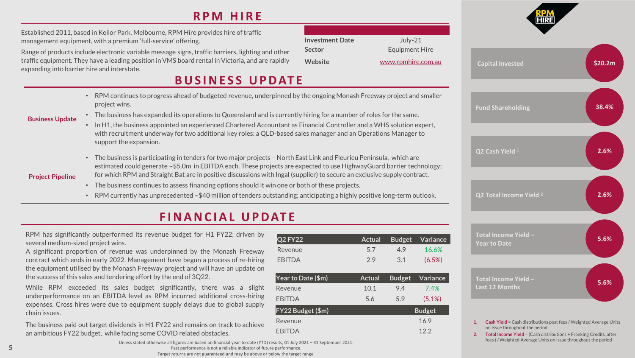# **R P M H I R E**

| Established 2011, based in Keilor Park, Melbourne, RPM Hire provides hire of traffic |
|--------------------------------------------------------------------------------------|
| management equipment, with a premium 'full-service' offering.                        |

Range of products include electronic variable message signs, traffic barriers, lighting and other traffic equipment. They have a leading position in VMS board rental in Victoria, and are rapidly expanding into barrier hire and interstate.

## **B U S I N E S S U P D AT E**

• RPM continues to progress ahead of budgeted revenue, underpinned by the ongoing Monash Freeway project and smaller project wins.

#### **Business Update**

- The business has expanded its operations to Queensland and is currently hiring for a number of roles for the same. • In H1, the business appointed an experienced Chartered Accountant as Financial Controller and a WHS solution expert,
	- with recruitment underway for two additional key roles: a QLD-based sales manager and an Operations Manager to support the expansion.
- **Project Pipeline** • The business is participating in tenders for two major projects – North East Link and Fleurieu Peninsula, which are estimated could generate ~\$5.0m in EBITDA each. These projects are expected to use HighwayGuard barrier technology; for which RPM and Straight Bat are in positive discussions with Ingal (supplier) to secure an exclusive supply contract.
	- The business continues to assess financing options should it win one or both of these projects.
	- RPM currently has unprecedented ~\$40 million of tenders outstanding; anticipating a highly positive long-term outlook.

# **F I N A N C I A L U P D AT E**

RPM has significantly outperformed its revenue budget for H1 FY22; driven by several medium-sized project wins.

A significant proportion of revenue was underpinned by the Monash Freeway contract which ends in early 2022. Management have begun a process of re-hiring the equipment utilised by the Monash Freeway project and will have an update on the success of this sales and tendering effort by the end of 3Q22.

While RPM exceeded its sales budget significantly, there was a slight underperformance on an EBITDA level as RPM incurred additional cross-hiring expenses. Cross hires were due to equipment supply delays due to global supply chain issues.

The business paid out target dividends in H1 FY22 and remains on track to achieve an ambitious FY22 budget, while facing some COVID related obstacles.

| <b>Q2 FY22</b>     | <b>Actual</b> | <b>Budget</b> | Variance      |
|--------------------|---------------|---------------|---------------|
| Revenue            | 5.7           | 4.9           | 16.6%         |
| <b>EBITDA</b>      | 2.9           | 3.1           | (6.5%)        |
| Year to Date (\$m) | <b>Actual</b> | <b>Budget</b> | Variance      |
| Revenue            | 10.1          | 9.4           | 7.4%          |
| <b>EBITDA</b>      | 5.6           | 5.9           | (5.1%)        |
| FY22 Budget (\$m)  |               |               | <b>Budget</b> |
| Revenue            |               |               | 16.9          |
| <b>EBITDA</b>      |               |               | 12.2          |

**Investment Date** July-21 **Sector** Equipment Hire **Website** [www.rpmhire.com.au](http://www.rpmhire.com.au/)



- **1. Cash Yield** = Cash distributions post fees / Weighted Average Units on Issue throughout the period
- **2. Total Income Yield** = (Cash distributions + Franking Credits, after fees ) / Weighted Average Units on Issue throughout the period

Unless stated otherwise all figures are based on financial year-to-date (YTD) results, 01 July 2021 – 31 September 2021. Past performance is not a reliable indicator of future performance. Target returns are not guaranteed and may be above or below the target range.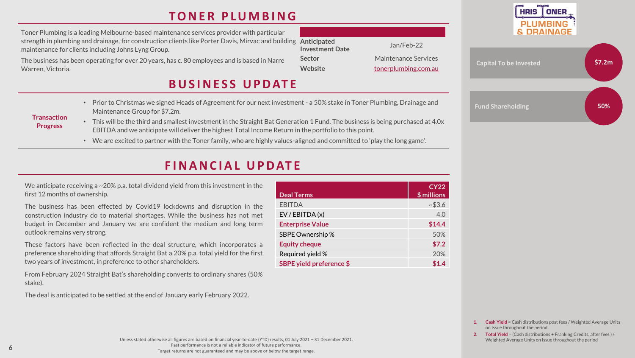## **T O N E R P L U M B I N G**

strength in plumbing and drainage, for construction clients like Porter Davis, Mirvac and building Anticipated **Investment Date** Jan/Feb-22 Toner Plumbing is a leading Melbourne-based maintenance services provider with particular maintenance for clients including Johns Lyng Group.

The business has been operating for over 20 years, has c. 80 employees and is based in Narre Warren, Victoria.

### **B U S I N E S S U P D AT E**

- Prior to Christmas we signed Heads of Agreement for our next investment a 50% stake in Toner Plumbing, Drainage and Maintenance Group for \$7.2m.
- **Transaction Progress**
	- This will be the third and smallest investment in the Straight Bat Generation 1 Fund. The business is being purchased at 4.0x EBITDA and we anticipate will deliver the highest Total Income Return in the portfolio to this point.
		- We are excited to partner with the Toner family, who are highly values-aligned and committed to 'play the long game'.

## **F I N A N C I A L U P D AT E**

We anticipate receiving a  $\sim$  20% p.a. total dividend yield from this investment in the first 12 months of ownership.

The business has been effected by Covid19 lockdowns and disruption in the construction industry do to material shortages. While the business has not met budget in December and January we are confident the medium and long term outlook remains very strong.

These factors have been reflected in the deal structure, which incorporates a preference shareholding that affords Straight Bat a 20% p.a. total yield for the first two years of investment, in preference to other shareholders.

From February 2024 Straight Bat's shareholding converts to ordinary shares (50% stake).

The deal is anticipated to be settled at the end of January early February 2022.

| <b>Deal Terms</b>        | <b>CY22</b><br>\$ millions |
|--------------------------|----------------------------|
| <b>EBITDA</b>            | ~1.6                       |
| EV / EBITDA (x)          | 4.0                        |
| <b>Enterprise Value</b>  | \$14.4                     |
| SBPE Ownership %         | 50%                        |
| <b>Equity cheque</b>     | \$7.2                      |
| Required yield %         | 20%                        |
| SBPE yield preference \$ |                            |

**Sector** Maintenance Services Website [tonerplumbing.com.au](http://tonerplumbing.com.au/)





- **1. Cash Yield** = Cash distributions post fees / Weighted Average Units on Issue throughout the period
- **2. Total Yield** = (Cash distributions + Franking Credits, after fees ) / Weighted Average Units on Issue throughout the period

Unless stated otherwise all figures are based on financial year-to-date (YTD) results, 01 July 2021 – 31 December 2021. Past performance is not a reliable indicator of future performance. Target returns are not guaranteed and may be above or below the target range.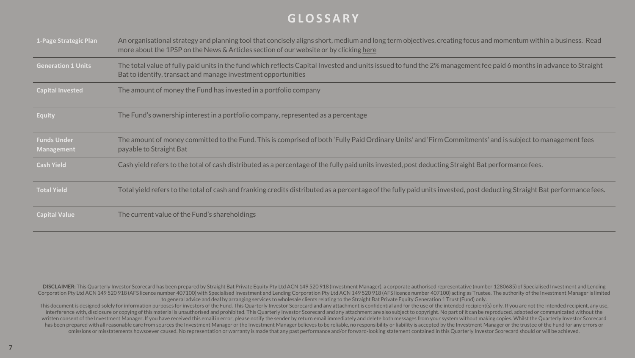### **G L O S S A R Y**

| 1-Page Strategic Plan                   | An organisational strategy and planning tool that concisely aligns short, medium and long term objectives, creating focus and momentum within a business. Read<br>more about the 1PSP on the News & Articles section of our website or by clicking here |
|-----------------------------------------|---------------------------------------------------------------------------------------------------------------------------------------------------------------------------------------------------------------------------------------------------------|
| <b>Generation 1 Units</b>               | The total value of fully paid units in the fund which reflects Capital Invested and units issued to fund the 2% management fee paid 6 months in advance to Straight<br>Bat to identify, transact and manage investment opportunities                    |
| <b>Capital Invested</b>                 | The amount of money the Fund has invested in a portfolio company                                                                                                                                                                                        |
| <b>Equity</b>                           | The Fund's ownership interest in a portfolio company, represented as a percentage                                                                                                                                                                       |
| <b>Funds Under</b><br><b>Management</b> | The amount of money committed to the Fund. This is comprised of both 'Fully Paid Ordinary Units' and 'Firm Commitments' and is subject to management fees<br>payable to Straight Bat                                                                    |
| <b>Cash Yield</b>                       | Cash yield refers to the total of cash distributed as a percentage of the fully paid units invested, post deducting Straight Bat performance fees.                                                                                                      |
| <b>Total Yield</b>                      | Total yield refers to the total of cash and franking credits distributed as a percentage of the fully paid units invested, post deducting Straight Bat performance fees.                                                                                |
| <b>Capital Value</b>                    | The current value of the Fund's shareholdings                                                                                                                                                                                                           |

DISCLAIMER: This Quarterly Investor Scorecard has been prepared by Straight Bat Private Equity Pty Ltd ACN 149 520 918 (Investment Manager), a corporate authorised representative (number 1280685) of Specialised Investment Corporation Pty Ltd ACN 149 520 918 (AFS licence number 407100) with Specialised Investment and Lending Corporation Pty Ltd ACN 149 520 918 (AFS licence number 407100) acting as Trustee. The authority of the Investment Man to general advice and deal by arranging services to wholesale clients relating to the Straight Bat Private Equity Generation 1 Trust (Fund) only.

This document is designed solely for information purposes for investors of the Fund. This Quarterly Investor Scorecard and any attachment is confidential and for the use of the intended recipient(s) only. If you are not th interference with, disclosure or copying of this material is unauthorised and prohibited. This Quarterly Investor Scorecard and any attachment are also subject to copyright. No part of it can be reproduced, adapted or comm written consent of the Investment Manager. If you have received this email in error, please notify the sender by return email immediately and delete both messages from your system without making copies. Whilst the Quarterl has been prepared with all reasonable care from sources the Investment Manager or the Investment Manager believes to be reliable, no responsibility or liability is accepted by the Investment Manager or the trustee of the F omissions or misstatements howsoever caused. No representation or warranty is made that any past performance and/or forward-looking statement contained in this Quarterly Investor Scorecard should or will be achieved.